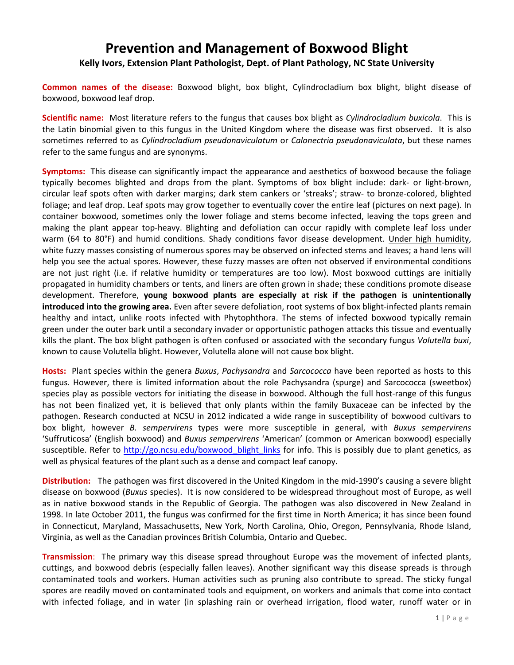## **Prevention and Management of Boxwood Blight**

## **Kelly Ivors, Extension Plant Pathologist, Dept. of Plant Pathology, NC State University**

**Common names of the disease:** Boxwood blight, box blight, Cylindrocladium box blight, blight disease of boxwood, boxwood leaf drop.

**Scientific name:** Most literature refers to the fungus that causes box blight as *Cylindrocladium buxicola*. This is the Latin binomial given to this fungus in the United Kingdom where the disease was first observed. It is also sometimes referred to as *Cylindrocladium pseudonaviculatum* or *Calonectria pseudonaviculata*, but these names refer to the same fungus and are synonyms.

**Symptoms:** This disease can significantly impact the appearance and aesthetics of boxwood because the foliage typically becomes blighted and drops from the plant. Symptoms of box blight include: dark‐ or light‐brown, circular leaf spots often with darker margins; dark stem cankers or 'streaks'; straw‐ to bronze‐colored, blighted foliage; and leaf drop. Leaf spots may grow together to eventually cover the entire leaf (pictures on next page). In container boxwood, sometimes only the lower foliage and stems become infected, leaving the tops green and making the plant appear top‐heavy. Blighting and defoliation can occur rapidly with complete leaf loss under warm (64 to 80°F) and humid conditions. Shady conditions favor disease development. Under high humidity, white fuzzy masses consisting of numerous spores may be observed on infected stems and leaves; a hand lens will help you see the actual spores. However, these fuzzy masses are often not observed if environmental conditions are not just right (i.e. if relative humidity or temperatures are too low). Most boxwood cuttings are initially propagated in humidity chambers or tents, and liners are often grown in shade; these conditions promote disease development. Therefore, **young boxwood plants are especially at risk if the pathogen is unintentionally introduced into the growing area.** Even after severe defoliation, root systems of box blight‐infected plants remain healthy and intact, unlike roots infected with Phytophthora. The stems of infected boxwood typically remain green under the outer bark until a secondary invader or opportunistic pathogen attacks this tissue and eventually kills the plant. The box blight pathogen is often confused or associated with the secondary fungus *Volutella buxi*, known to cause Volutella blight. However, Volutella alone will not cause box blight.

**Hosts:** Plant species within the genera *Buxus*, *Pachysandra* and *Sarcococca* have been reported as hosts to this fungus. However, there is limited information about the role Pachysandra (spurge) and Sarcococca (sweetbox) species play as possible vectors for initiating the disease in boxwood. Although the full host-range of this fungus has not been finalized yet, it is believed that only plants within the family Buxaceae can be infected by the pathogen. Research conducted at NCSU in 2012 indicated a wide range in susceptibility of boxwood cultivars to box blight, however *B. sempervirens* types were more susceptible in general, with *Buxus sempervirens* 'Suffruticosa' (English boxwood) and *Buxus sempervirens* 'American' (common or American boxwood) especially susceptible. Refer to http://go.ncsu.edu/boxwood\_blight\_links for info. This is possibly due to plant genetics, as well as physical features of the plant such as a dense and compact leaf canopy.

**Distribution:** The pathogen was first discovered in the United Kingdom in the mid‐1990's causing a severe blight disease on boxwood (*Buxus* species). It is now considered to be widespread throughout most of Europe, as well as in native boxwood stands in the Republic of Georgia. The pathogen was also discovered in New Zealand in 1998. In late October 2011, the fungus was confirmed for the first time in North America; it has since been found in Connecticut, Maryland, Massachusetts, New York, North Carolina, Ohio, Oregon, Pennsylvania, Rhode Island, Virginia, as well as the Canadian provinces British Columbia, Ontario and Quebec.

**Transmission**: The primary way this disease spread throughout Europe was the movement of infected plants, cuttings, and boxwood debris (especially fallen leaves). Another significant way this disease spreads is through contaminated tools and workers. Human activities such as pruning also contribute to spread. The sticky fungal spores are readily moved on contaminated tools and equipment, on workers and animals that come into contact with infected foliage, and in water (in splashing rain or overhead irrigation, flood water, runoff water or in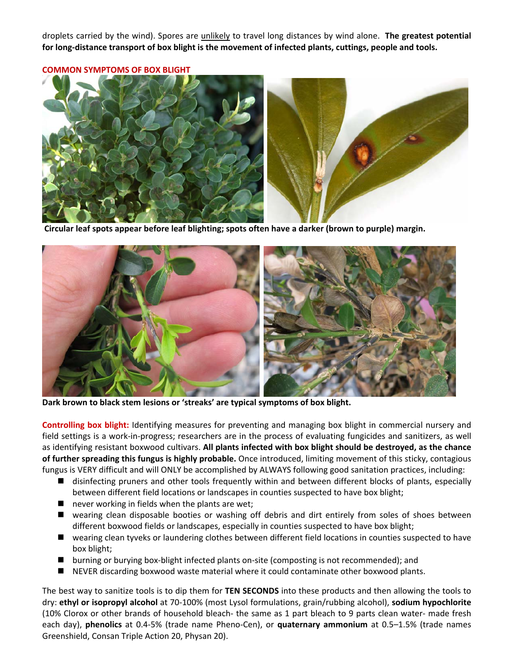droplets carried by the wind). Spores are unlikely to travel long distances by wind alone. **The greatest potential** for long-distance transport of box blight is the movement of infected plants, cuttings, people and tools.

**COMMON SYMPTOMS OF BOX BLIGHT**



**Circular leaf spots appear before leaf blighting; spots often have <sup>a</sup> darker (brown to purple) margin.** 



**Dark brown to black stem lesions or 'streaks' are typical symptoms of box blight.**

**Controlling box blight:** Identifying measures for preventing and managing box blight in commercial nursery and field settings is a work-in-progress; researchers are in the process of evaluating fungicides and sanitizers, as well as identifying resistant boxwood cultivars. **All plants infected with box blight should be destroyed, as the chance of further spreading this fungus is highly probable.** Once introduced, limiting movement of this sticky, contagious fungus is VERY difficult and will ONLY be accomplished by ALWAYS following good sanitation practices, including:

- disinfecting pruners and other tools frequently within and between different blocks of plants, especially between different field locations or landscapes in counties suspected to have box blight;
- $\blacksquare$  never working in fields when the plants are wet;
- wearing clean disposable booties or washing off debris and dirt entirely from soles of shoes between different boxwood fields or landscapes, especially in counties suspected to have box blight;
- wearing clean tyveks or laundering clothes between different field locations in counties suspected to have box blight;
- burning or burying box-blight infected plants on-site (composting is not recommended); and
- NEVER discarding boxwood waste material where it could contaminate other boxwood plants.

The best way to sanitize tools is to dip them for **TEN SECONDS** into these products and then allowing the tools to dry: **ethyl or isopropyl alcohol** at 70‐100% (most Lysol formulations, grain/rubbing alcohol), **sodium hypochlorite** (10% Clorox or other brands of household bleach‐ the same as 1 part bleach to 9 parts clean water‐ made fresh each day), **phenolics** at 0.4‐5% (trade name Pheno‐Cen), or **quaternary ammonium** at 0.5–1.5% (trade names Greenshield, Consan Triple Action 20, Physan 20).